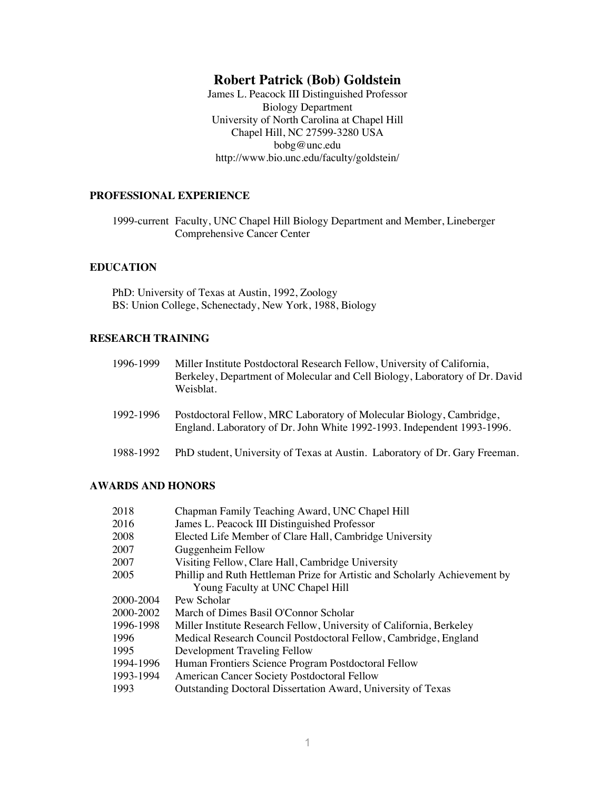# **Robert Patrick (Bob) Goldstein**

James L. Peacock III Distinguished Professor Biology Department University of North Carolina at Chapel Hill Chapel Hill, NC 27599-3280 USA bobg@unc.edu http://www.bio.unc.edu/faculty/goldstein/

### **PROFESSIONAL EXPERIENCE**

1999-current Faculty, UNC Chapel Hill Biology Department and Member, Lineberger Comprehensive Cancer Center

### **EDUCATION**

PhD: University of Texas at Austin, 1992, Zoology BS: Union College, Schenectady, New York, 1988, Biology

### **RESEARCH TRAINING**

| 1996-1999 | Miller Institute Postdoctoral Research Fellow, University of California,<br>Berkeley, Department of Molecular and Cell Biology, Laboratory of Dr. David<br>Weisblat. |
|-----------|----------------------------------------------------------------------------------------------------------------------------------------------------------------------|
| 1992-1996 | Postdoctoral Fellow, MRC Laboratory of Molecular Biology, Cambridge,<br>England. Laboratory of Dr. John White 1992-1993. Independent 1993-1996.                      |
| 1988-1992 | PhD student, University of Texas at Austin. Laboratory of Dr. Gary Freeman.                                                                                          |

### **AWARDS AND HONORS**

| 2018      | Chapman Family Teaching Award, UNC Chapel Hill                             |
|-----------|----------------------------------------------------------------------------|
| 2016      | James L. Peacock III Distinguished Professor                               |
| 2008      | Elected Life Member of Clare Hall, Cambridge University                    |
| 2007      | Guggenheim Fellow                                                          |
| 2007      | Visiting Fellow, Clare Hall, Cambridge University                          |
| 2005      | Phillip and Ruth Hettleman Prize for Artistic and Scholarly Achievement by |
|           | Young Faculty at UNC Chapel Hill                                           |
| 2000-2004 | Pew Scholar                                                                |
| 2000-2002 | March of Dimes Basil O'Connor Scholar                                      |
| 1996-1998 | Miller Institute Research Fellow, University of California, Berkeley       |
| 1996      | Medical Research Council Postdoctoral Fellow, Cambridge, England           |
| 1995      | Development Traveling Fellow                                               |
| 1994-1996 | Human Frontiers Science Program Postdoctoral Fellow                        |
| 1993-1994 | American Cancer Society Postdoctoral Fellow                                |
| 1993      | <b>Outstanding Doctoral Dissertation Award, University of Texas</b>        |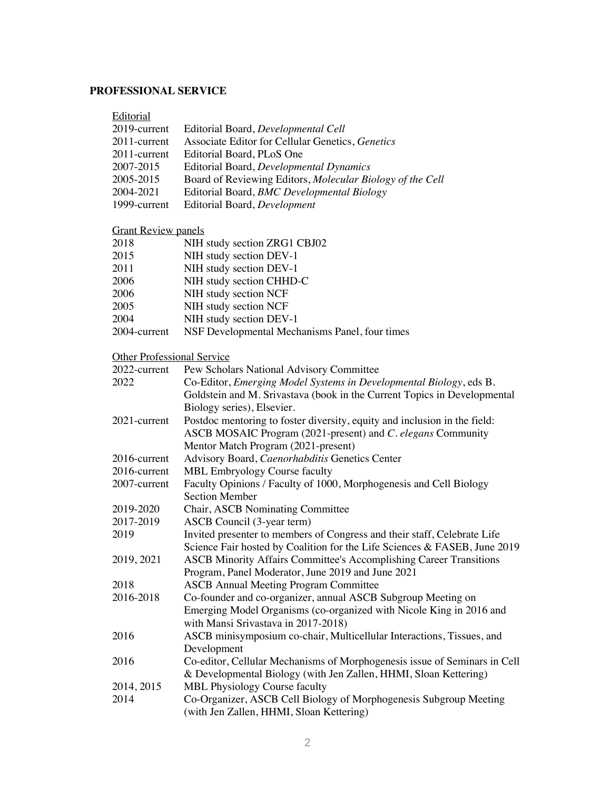## **PROFESSIONAL SERVICE**

| Editorial                         |                                                                           |
|-----------------------------------|---------------------------------------------------------------------------|
| 2019-current                      | Editorial Board, Developmental Cell                                       |
| 2011-current                      | Associate Editor for Cellular Genetics, Genetics                          |
| 2011-current                      | Editorial Board, PLoS One                                                 |
| 2007-2015                         | Editorial Board, Developmental Dynamics                                   |
| 2005-2015                         | Board of Reviewing Editors, Molecular Biology of the Cell                 |
| 2004-2021                         | Editorial Board, BMC Developmental Biology                                |
| 1999-current                      | Editorial Board, Development                                              |
| <b>Grant Review panels</b>        |                                                                           |
| 2018                              | NIH study section ZRG1 CBJ02                                              |
| 2015                              | NIH study section DEV-1                                                   |
| 2011                              | NIH study section DEV-1                                                   |
| 2006                              | NIH study section CHHD-C                                                  |
| 2006                              | NIH study section NCF                                                     |
| 2005                              | NIH study section NCF                                                     |
| 2004                              | NIH study section DEV-1                                                   |
| 2004-current                      | NSF Developmental Mechanisms Panel, four times                            |
| <b>Other Professional Service</b> |                                                                           |
| 2022-current                      | Pew Scholars National Advisory Committee                                  |
| 2022                              | Co-Editor, Emerging Model Systems in Developmental Biology, eds B.        |
|                                   | Goldstein and M. Srivastava (book in the Current Topics in Developmental  |
|                                   | Biology series), Elsevier.                                                |
| 2021-current                      | Postdoc mentoring to foster diversity, equity and inclusion in the field: |
|                                   | ASCB MOSAIC Program (2021-present) and C. elegans Community               |
|                                   | Mentor Match Program (2021-present)                                       |
| 2016-current                      | Advisory Board, Caenorhabditis Genetics Center                            |
| 2016-current                      | MBL Embryology Course faculty                                             |
| 2007-current                      | Faculty Opinions / Faculty of 1000, Morphogenesis and Cell Biology        |
|                                   | <b>Section Member</b>                                                     |
| 2019-2020                         | Chair, ASCB Nominating Committee                                          |
| 2017-2019                         | ASCB Council (3-year term)                                                |
| 2019                              | Invited presenter to members of Congress and their staff, Celebrate Life  |
|                                   | Science Fair hosted by Coalition for the Life Sciences & FASEB, June 2019 |
| 2019, 2021                        | ASCB Minority Affairs Committee's Accomplishing Career Transitions        |
|                                   | Program, Panel Moderator, June 2019 and June 2021                         |
| 2018                              | <b>ASCB Annual Meeting Program Committee</b>                              |
| 2016-2018                         | Co-founder and co-organizer, annual ASCB Subgroup Meeting on              |
|                                   | Emerging Model Organisms (co-organized with Nicole King in 2016 and       |
|                                   | with Mansi Srivastava in 2017-2018)                                       |
| 2016                              | ASCB minisymposium co-chair, Multicellular Interactions, Tissues, and     |
|                                   | Development                                                               |
| 2016                              | Co-editor, Cellular Mechanisms of Morphogenesis issue of Seminars in Cell |
|                                   |                                                                           |

- & Developmental Biology (with Jen Zallen, HHMI, Sloan Kettering) 2014, 2015 MBL Physiology Course faculty<br>2014 Co-Organizer, ASCB Cell Biolog Co-Organizer, ASCB Cell Biology of Morphogenesis Subgroup Meeting
- (with Jen Zallen, HHMI, Sloan Kettering)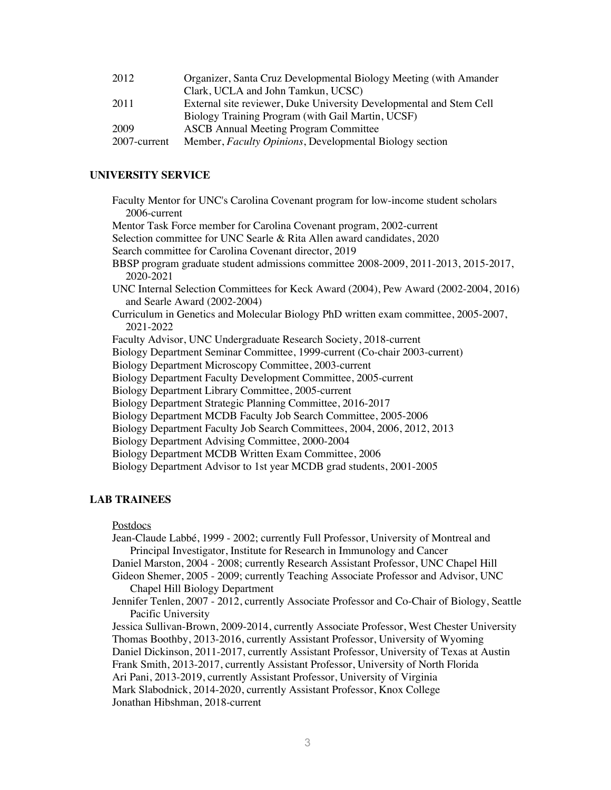| 2012         | Organizer, Santa Cruz Developmental Biology Meeting (with Amander   |
|--------------|---------------------------------------------------------------------|
|              | Clark, UCLA and John Tamkun, UCSC)                                  |
| 2011         | External site reviewer, Duke University Developmental and Stem Cell |
|              | Biology Training Program (with Gail Martin, UCSF)                   |
| 2009         | <b>ASCB</b> Annual Meeting Program Committee                        |
| 2007-current | Member, Faculty Opinions, Developmental Biology section             |

### **UNIVERSITY SERVICE**

| Faculty Mentor for UNC's Carolina Covenant program for low-income student scholars   |
|--------------------------------------------------------------------------------------|
| 2006-current                                                                         |
| Mentor Task Force member for Carolina Covenant program, 2002-current                 |
| Selection committee for UNC Searle & Rita Allen award candidates, 2020               |
| Search committee for Carolina Covenant director, 2019                                |
| BBSP program graduate student admissions committee 2008-2009, 2011-2013, 2015-2017,  |
| 2020-2021                                                                            |
| UNC Internal Selection Committees for Keck Award (2004), Pew Award (2002-2004, 2016) |
| and Searle Award (2002-2004)                                                         |
| Curriculum in Genetics and Molecular Biology PhD written exam committee, 2005-2007,  |
| 2021-2022                                                                            |
| Faculty Advisor, UNC Undergraduate Research Society, 2018-current                    |
| Biology Department Seminar Committee, 1999-current (Co-chair 2003-current)           |
| Biology Department Microscopy Committee, 2003-current                                |
| Biology Department Faculty Development Committee, 2005-current                       |
| Biology Department Library Committee, 2005-current                                   |
| Biology Department Strategic Planning Committee, 2016-2017                           |
| Biology Department MCDB Faculty Job Search Committee, 2005-2006                      |
| Biology Department Faculty Job Search Committees, 2004, 2006, 2012, 2013             |
| Biology Department Advising Committee, 2000-2004                                     |
| Biology Department MCDB Written Exam Committee, 2006                                 |
| Biology Department Advisor to 1st year MCDB grad students, 2001-2005                 |
|                                                                                      |

## **LAB TRAINEES**

**Postdocs** 

Jean-Claude Labbé, 1999 - 2002; currently Full Professor, University of Montreal and Principal Investigator, Institute for Research in Immunology and Cancer

- Daniel Marston, 2004 2008; currently Research Assistant Professor, UNC Chapel Hill
- Gideon Shemer, 2005 2009; currently Teaching Associate Professor and Advisor, UNC Chapel Hill Biology Department
- Jennifer Tenlen, 2007 2012, currently Associate Professor and Co-Chair of Biology, Seattle Pacific University

Jessica Sullivan-Brown, 2009-2014, currently Associate Professor, West Chester University Thomas Boothby, 2013-2016, currently Assistant Professor, University of Wyoming Daniel Dickinson, 2011-2017, currently Assistant Professor, University of Texas at Austin Frank Smith, 2013-2017, currently Assistant Professor, University of North Florida Ari Pani, 2013-2019, currently Assistant Professor, University of Virginia Mark Slabodnick, 2014-2020, currently Assistant Professor, Knox College Jonathan Hibshman, 2018-current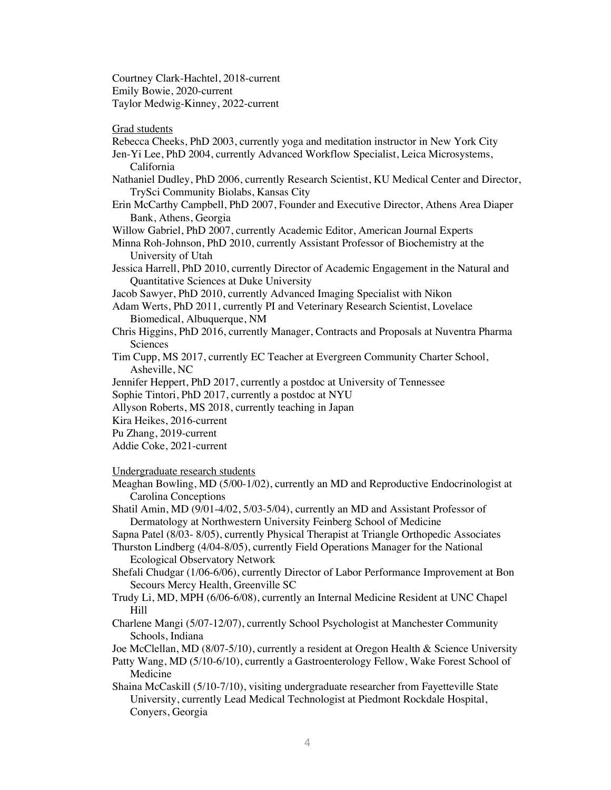Courtney Clark-Hachtel, 2018-current Emily Bowie, 2020-current Taylor Medwig-Kinney, 2022-current

### Grad students

- Rebecca Cheeks, PhD 2003, currently yoga and meditation instructor in New York City
- Jen-Yi Lee, PhD 2004, currently Advanced Workflow Specialist, Leica Microsystems, California
- Nathaniel Dudley, PhD 2006, currently Research Scientist, KU Medical Center and Director, TrySci Community Biolabs, Kansas City
- Erin McCarthy Campbell, PhD 2007, Founder and Executive Director, Athens Area Diaper Bank, Athens, Georgia

Willow Gabriel, PhD 2007, currently Academic Editor, American Journal Experts

- Minna Roh-Johnson, PhD 2010, currently Assistant Professor of Biochemistry at the University of Utah
- Jessica Harrell, PhD 2010, currently Director of Academic Engagement in the Natural and Quantitative Sciences at Duke University
- Jacob Sawyer, PhD 2010, currently Advanced Imaging Specialist with Nikon
- Adam Werts, PhD 2011, currently PI and Veterinary Research Scientist, Lovelace Biomedical, Albuquerque, NM
- Chris Higgins, PhD 2016, currently Manager, Contracts and Proposals at Nuventra Pharma Sciences
- Tim Cupp, MS 2017, currently EC Teacher at Evergreen Community Charter School, Asheville, NC
- Jennifer Heppert, PhD 2017, currently a postdoc at University of Tennessee
- Sophie Tintori, PhD 2017, currently a postdoc at NYU
- Allyson Roberts, MS 2018, currently teaching in Japan
- Kira Heikes, 2016-current
- Pu Zhang, 2019-current
- Addie Coke, 2021-current

Undergraduate research students

- Meaghan Bowling, MD (5/00-1/02), currently an MD and Reproductive Endocrinologist at Carolina Conceptions
- Shatil Amin, MD (9/01-4/02, 5/03-5/04), currently an MD and Assistant Professor of Dermatology at Northwestern University Feinberg School of Medicine

Sapna Patel (8/03- 8/05), currently Physical Therapist at Triangle Orthopedic Associates

- Thurston Lindberg (4/04-8/05), currently Field Operations Manager for the National Ecological Observatory Network
- Shefali Chudgar (1/06-6/06), currently Director of Labor Performance Improvement at Bon Secours Mercy Health, Greenville SC
- Trudy Li, MD, MPH (6/06-6/08), currently an Internal Medicine Resident at UNC Chapel Hill
- Charlene Mangi (5/07-12/07), currently School Psychologist at Manchester Community Schools, Indiana
- Joe McClellan, MD (8/07-5/10), currently a resident at Oregon Health & Science University
- Patty Wang, MD (5/10-6/10), currently a Gastroenterology Fellow, Wake Forest School of Medicine
- Shaina McCaskill (5/10-7/10), visiting undergraduate researcher from Fayetteville State University, currently Lead Medical Technologist at Piedmont Rockdale Hospital, Conyers, Georgia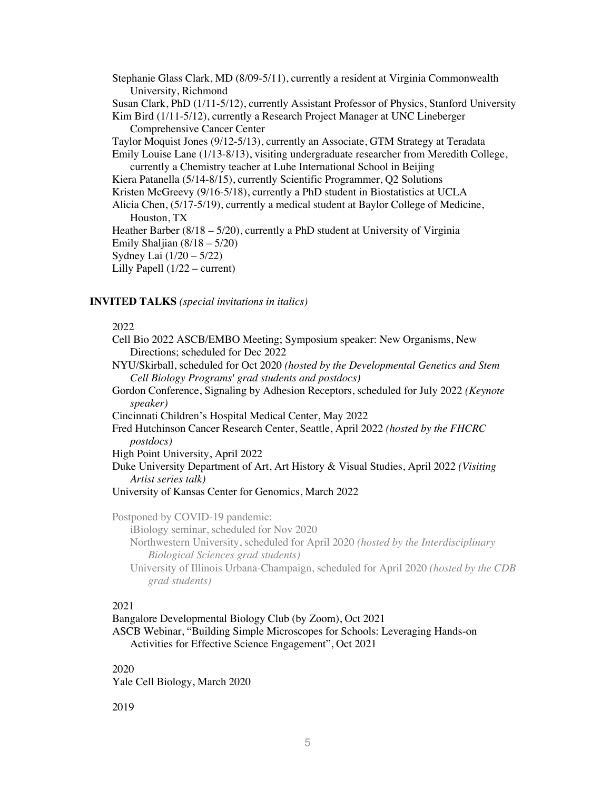Stephanie Glass Clark, MD (8/09-5/11), currently a resident at Virginia Commonwealth University, Richmond Susan Clark, PhD (1/11-5/12), currently Assistant Professor of Physics, Stanford University Kim Bird (1/11-5/12), currently a Research Project Manager at UNC Lineberger Comprehensive Cancer Center Taylor Moquist Jones (9/12-5/13), currently an Associate, GTM Strategy at Teradata Emily Louise Lane (1/13-8/13), visiting undergraduate researcher from Meredith College, currently a Chemistry teacher at Luhe International School in Beijing Kiera Patanella (5/14-8/15), currently Scientific Programmer, Q2 Solutions Kristen McGreevy (9/16-5/18), currently a PhD student in Biostatistics at UCLA Alicia Chen, (5/17-5/19), currently a medical student at Baylor College of Medicine, Houston, TX Heather Barber (8/18 – 5/20), currently a PhD student at University of Virginia Emily Shaljian (8/18 – 5/20) Sydney Lai (1/20 – 5/22) Lilly Papell (1/22 – current)

### **INVITED TALKS** *(special invitations in italics)*

#### 2022

- Cell Bio 2022 ASCB/EMBO Meeting; Symposium speaker: New Organisms, New Directions; scheduled for Dec 2022
- NYU/Skirball, scheduled for Oct 2020 *(hosted by the Developmental Genetics and Stem Cell Biology Programs' grad students and postdocs)*
- Gordon Conference, Signaling by Adhesion Receptors, scheduled for July 2022 *(Keynote speaker)*
- Cincinnati Children's Hospital Medical Center, May 2022
- Fred Hutchinson Cancer Research Center, Seattle, April 2022 *(hosted by the FHCRC postdocs)*

High Point University, April 2022

Duke University Department of Art, Art History & Visual Studies, April 2022 *(Visiting Artist series talk)*

University of Kansas Center for Genomics, March 2022

Postponed by COVID-19 pandemic:

iBiology seminar, scheduled for Nov 2020

- Northwestern University, scheduled for April 2020 *(hosted by the Interdisciplinary Biological Sciences grad students)*
- University of Illinois Urbana-Champaign, scheduled for April 2020 *(hosted by the CDB grad students)*

## 2021

Bangalore Developmental Biology Club (by Zoom), Oct 2021

ASCB Webinar, "Building Simple Microscopes for Schools: Leveraging Hands-on Activities for Effective Science Engagement", Oct 2021

### 2020

Yale Cell Biology, March 2020

2019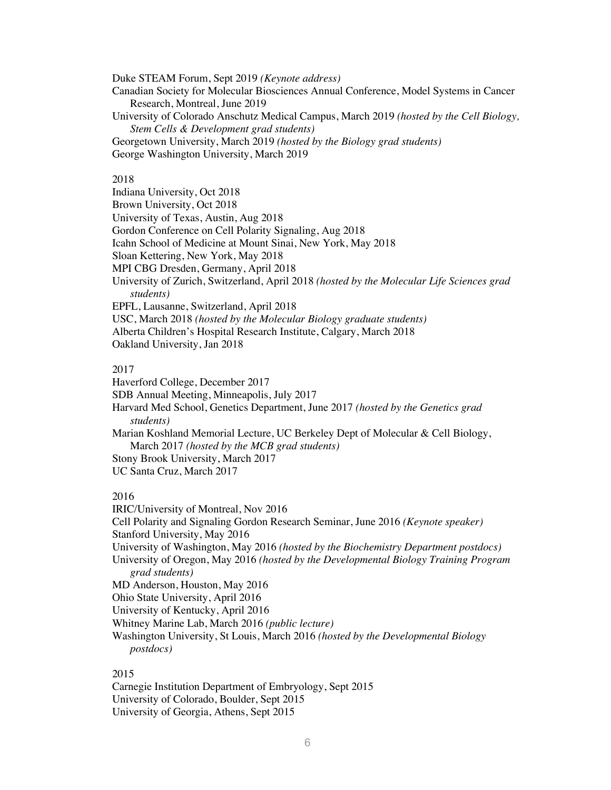Duke STEAM Forum, Sept 2019 *(Keynote address)* Canadian Society for Molecular Biosciences Annual Conference, Model Systems in Cancer Research, Montreal, June 2019 University of Colorado Anschutz Medical Campus, March 2019 *(hosted by the Cell Biology,* 

*Stem Cells & Development grad students)* Georgetown University, March 2019 *(hosted by the Biology grad students)* George Washington University, March 2019

### 2018

Indiana University, Oct 2018 Brown University, Oct 2018 University of Texas, Austin, Aug 2018 Gordon Conference on Cell Polarity Signaling, Aug 2018 Icahn School of Medicine at Mount Sinai, New York, May 2018 Sloan Kettering, New York, May 2018 MPI CBG Dresden, Germany, April 2018 University of Zurich, Switzerland, April 2018 *(hosted by the Molecular Life Sciences grad students)*  EPFL, Lausanne, Switzerland, April 2018 USC, March 2018 *(hosted by the Molecular Biology graduate students)* Alberta Children's Hospital Research Institute, Calgary, March 2018

Oakland University, Jan 2018

#### 2017

Haverford College, December 2017 SDB Annual Meeting, Minneapolis, July 2017 Harvard Med School, Genetics Department, June 2017 *(hosted by the Genetics grad students)* Marian Koshland Memorial Lecture, UC Berkeley Dept of Molecular & Cell Biology, March 2017 *(hosted by the MCB grad students)* Stony Brook University, March 2017 UC Santa Cruz, March 2017

## 2016

IRIC/University of Montreal, Nov 2016 Cell Polarity and Signaling Gordon Research Seminar, June 2016 *(Keynote speaker)* Stanford University, May 2016 University of Washington, May 2016 *(hosted by the Biochemistry Department postdocs)*  University of Oregon, May 2016 *(hosted by the Developmental Biology Training Program grad students)* MD Anderson, Houston, May 2016 Ohio State University, April 2016 University of Kentucky, April 2016 Whitney Marine Lab, March 2016 *(public lecture)* Washington University, St Louis, March 2016 *(hosted by the Developmental Biology postdocs)*

### 2015

Carnegie Institution Department of Embryology, Sept 2015 University of Colorado, Boulder, Sept 2015 University of Georgia, Athens, Sept 2015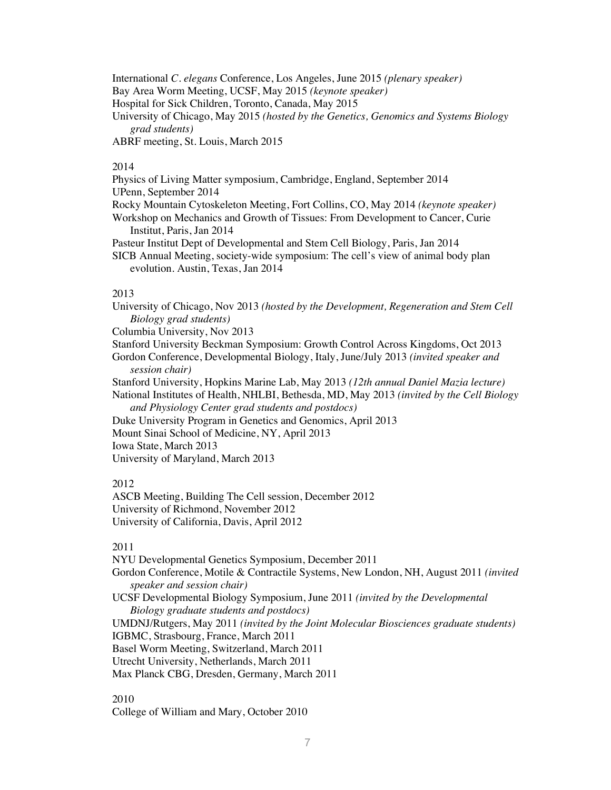International *C. elegans* Conference, Los Angeles, June 2015 *(plenary speaker)* Bay Area Worm Meeting, UCSF, May 2015 *(keynote speaker)* Hospital for Sick Children, Toronto, Canada, May 2015 University of Chicago, May 2015 *(hosted by the Genetics, Genomics and Systems Biology grad students)* ABRF meeting, St. Louis, March 2015

### 2014

Physics of Living Matter symposium, Cambridge, England, September 2014 UPenn, September 2014 Rocky Mountain Cytoskeleton Meeting, Fort Collins, CO, May 2014 *(keynote speaker)* Workshop on Mechanics and Growth of Tissues: From Development to Cancer, Curie Institut, Paris, Jan 2014 Pasteur Institut Dept of Developmental and Stem Cell Biology, Paris, Jan 2014

SICB Annual Meeting, society-wide symposium: The cell's view of animal body plan evolution. Austin, Texas, Jan 2014

#### 2013

University of Chicago, Nov 2013 *(hosted by the Development, Regeneration and Stem Cell Biology grad students)* 

Columbia University, Nov 2013

Stanford University Beckman Symposium: Growth Control Across Kingdoms, Oct 2013 Gordon Conference, Developmental Biology, Italy, June/July 2013 *(invited speaker and* 

*session chair)*

Stanford University, Hopkins Marine Lab, May 2013 *(12th annual Daniel Mazia lecture)* National Institutes of Health, NHLBI, Bethesda, MD, May 2013 *(invited by the Cell Biology* 

*and Physiology Center grad students and postdocs)*

Duke University Program in Genetics and Genomics, April 2013

Mount Sinai School of Medicine, NY, April 2013

Iowa State, March 2013

University of Maryland, March 2013

#### 2012

ASCB Meeting, Building The Cell session, December 2012 University of Richmond, November 2012 University of California, Davis, April 2012

#### 2011

NYU Developmental Genetics Symposium, December 2011 Gordon Conference, Motile & Contractile Systems, New London, NH, August 2011 *(invited speaker and session chair)* UCSF Developmental Biology Symposium, June 2011 *(invited by the Developmental Biology graduate students and postdocs)* UMDNJ/Rutgers, May 2011 *(invited by the Joint Molecular Biosciences graduate students)* IGBMC, Strasbourg, France, March 2011 Basel Worm Meeting, Switzerland, March 2011 Utrecht University, Netherlands, March 2011 Max Planck CBG, Dresden, Germany, March 2011

### 2010

College of William and Mary, October 2010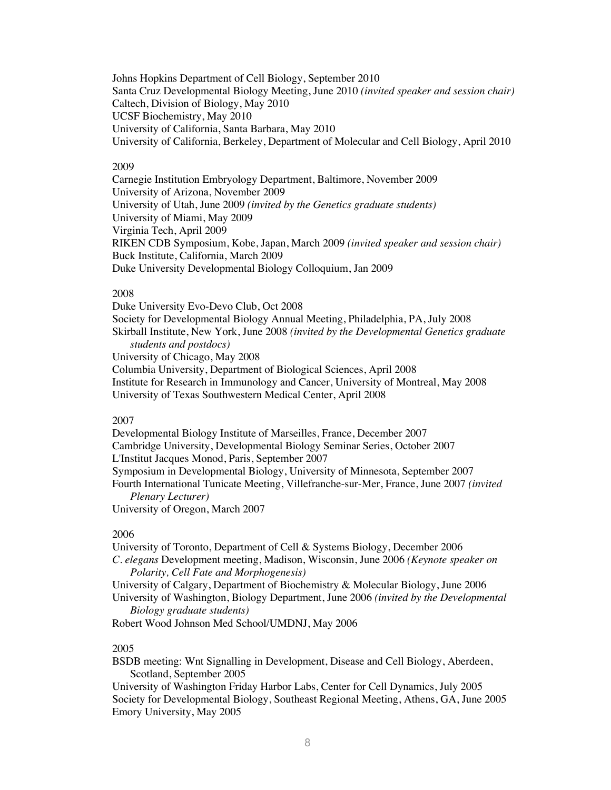Johns Hopkins Department of Cell Biology, September 2010 Santa Cruz Developmental Biology Meeting, June 2010 *(invited speaker and session chair)* Caltech, Division of Biology, May 2010 UCSF Biochemistry, May 2010 University of California, Santa Barbara, May 2010 University of California, Berkeley, Department of Molecular and Cell Biology, April 2010

### 2009

Carnegie Institution Embryology Department, Baltimore, November 2009 University of Arizona, November 2009 University of Utah, June 2009 *(invited by the Genetics graduate students)* University of Miami, May 2009 Virginia Tech, April 2009 RIKEN CDB Symposium, Kobe, Japan, March 2009 *(invited speaker and session chair)* Buck Institute, California, March 2009 Duke University Developmental Biology Colloquium, Jan 2009

#### 2008

Duke University Evo-Devo Club, Oct 2008 Society for Developmental Biology Annual Meeting, Philadelphia, PA, July 2008 Skirball Institute, New York, June 2008 *(invited by the Developmental Genetics graduate students and postdocs)* University of Chicago, May 2008 Columbia University, Department of Biological Sciences, April 2008 Institute for Research in Immunology and Cancer, University of Montreal, May 2008 University of Texas Southwestern Medical Center, April 2008

#### 2007

Developmental Biology Institute of Marseilles, France, December 2007 Cambridge University, Developmental Biology Seminar Series, October 2007 L'Institut Jacques Monod, Paris, September 2007 Symposium in Developmental Biology, University of Minnesota, September 2007 Fourth International Tunicate Meeting, Villefranche-sur-Mer, France, June 2007 *(invited Plenary Lecturer)* University of Oregon, March 2007

#### 2006

University of Toronto, Department of Cell & Systems Biology, December 2006 *C. elegans* Development meeting, Madison, Wisconsin, June 2006 *(Keynote speaker on Polarity, Cell Fate and Morphogenesis)* University of Calgary, Department of Biochemistry & Molecular Biology, June 2006

University of Washington, Biology Department, June 2006 *(invited by the Developmental Biology graduate students)*

Robert Wood Johnson Med School/UMDNJ, May 2006

#### 2005

BSDB meeting: Wnt Signalling in Development, Disease and Cell Biology, Aberdeen, Scotland, September 2005

University of Washington Friday Harbor Labs, Center for Cell Dynamics, July 2005 Society for Developmental Biology, Southeast Regional Meeting, Athens, GA, June 2005 Emory University, May 2005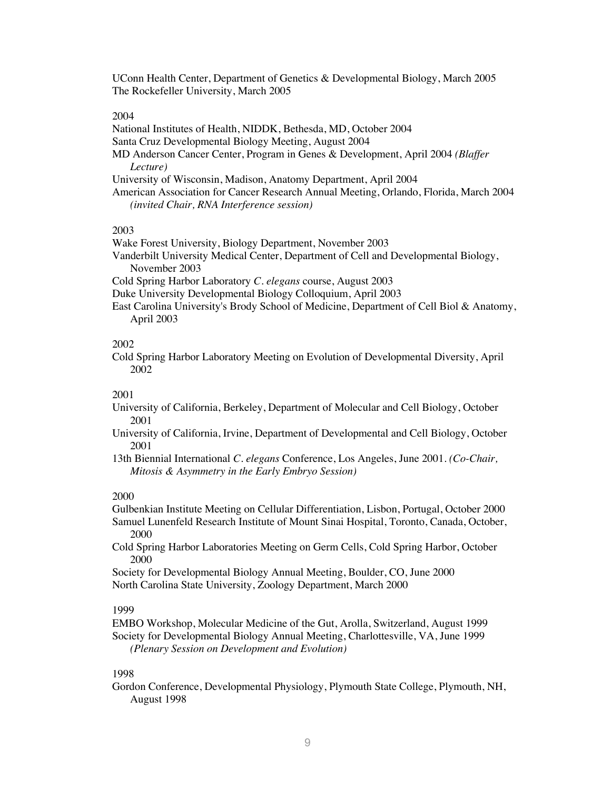UConn Health Center, Department of Genetics & Developmental Biology, March 2005 The Rockefeller University, March 2005

#### 2004

National Institutes of Health, NIDDK, Bethesda, MD, October 2004

Santa Cruz Developmental Biology Meeting, August 2004

- MD Anderson Cancer Center, Program in Genes & Development, April 2004 *(Blaffer Lecture)*
- University of Wisconsin, Madison, Anatomy Department, April 2004
- American Association for Cancer Research Annual Meeting, Orlando, Florida, March 2004 *(invited Chair, RNA Interference session)*

### 2003

Wake Forest University, Biology Department, November 2003

Vanderbilt University Medical Center, Department of Cell and Developmental Biology, November 2003

Cold Spring Harbor Laboratory *C. elegans* course, August 2003

- Duke University Developmental Biology Colloquium, April 2003
- East Carolina University's Brody School of Medicine, Department of Cell Biol & Anatomy, April 2003

#### 2002

Cold Spring Harbor Laboratory Meeting on Evolution of Developmental Diversity, April 2002

### 2001

- University of California, Berkeley, Department of Molecular and Cell Biology, October 2001
- University of California, Irvine, Department of Developmental and Cell Biology, October 2001

13th Biennial International *C. elegans* Conference, Los Angeles, June 2001. *(Co-Chair, Mitosis & Asymmetry in the Early Embryo Session)*

#### 2000

Gulbenkian Institute Meeting on Cellular Differentiation, Lisbon, Portugal, October 2000 Samuel Lunenfeld Research Institute of Mount Sinai Hospital, Toronto, Canada, October, 2000

Cold Spring Harbor Laboratories Meeting on Germ Cells, Cold Spring Harbor, October 2000

Society for Developmental Biology Annual Meeting, Boulder, CO, June 2000 North Carolina State University, Zoology Department, March 2000

### 1999

EMBO Workshop, Molecular Medicine of the Gut, Arolla, Switzerland, August 1999 Society for Developmental Biology Annual Meeting, Charlottesville, VA, June 1999 *(Plenary Session on Development and Evolution)*

### 1998

Gordon Conference, Developmental Physiology, Plymouth State College, Plymouth, NH, August 1998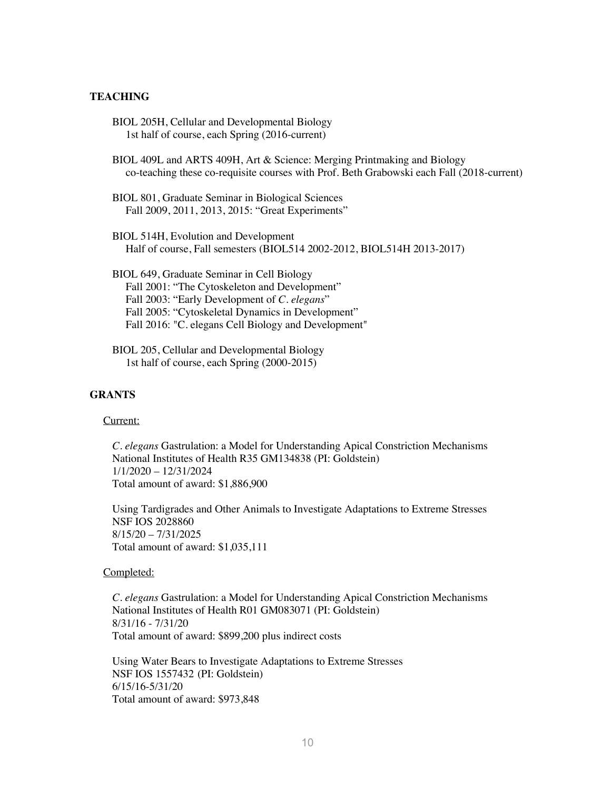### **TEACHING**

- BIOL 205H, Cellular and Developmental Biology 1st half of course, each Spring (2016-current)
- BIOL 409L and ARTS 409H, Art & Science: Merging Printmaking and Biology co-teaching these co-requisite courses with Prof. Beth Grabowski each Fall (2018-current)
- BIOL 801, Graduate Seminar in Biological Sciences Fall 2009, 2011, 2013, 2015: "Great Experiments"
- BIOL 514H, Evolution and Development Half of course, Fall semesters (BIOL514 2002-2012, BIOL514H 2013-2017)
- BIOL 649, Graduate Seminar in Cell Biology Fall 2001: "The Cytoskeleton and Development" Fall 2003: "Early Development of *C. elegans*" Fall 2005: "Cytoskeletal Dynamics in Development" Fall 2016: "C. elegans Cell Biology and Development"
- BIOL 205, Cellular and Developmental Biology 1st half of course, each Spring (2000-2015)

# **GRANTS**

#### Current:

*C. elegans* Gastrulation: a Model for Understanding Apical Constriction Mechanisms National Institutes of Health R35 GM134838 (PI: Goldstein) 1/1/2020 – 12/31/2024 Total amount of award: \$1,886,900

Using Tardigrades and Other Animals to Investigate Adaptations to Extreme Stresses NSF IOS 2028860 8/15/20 – 7/31/2025 Total amount of award: \$1,035,111

### Completed:

*C. elegans* Gastrulation: a Model for Understanding Apical Constriction Mechanisms National Institutes of Health R01 GM083071 (PI: Goldstein) 8/31/16 - 7/31/20 Total amount of award: \$899,200 plus indirect costs

Using Water Bears to Investigate Adaptations to Extreme Stresses NSF IOS 1557432 (PI: Goldstein) 6/15/16-5/31/20 Total amount of award: \$973,848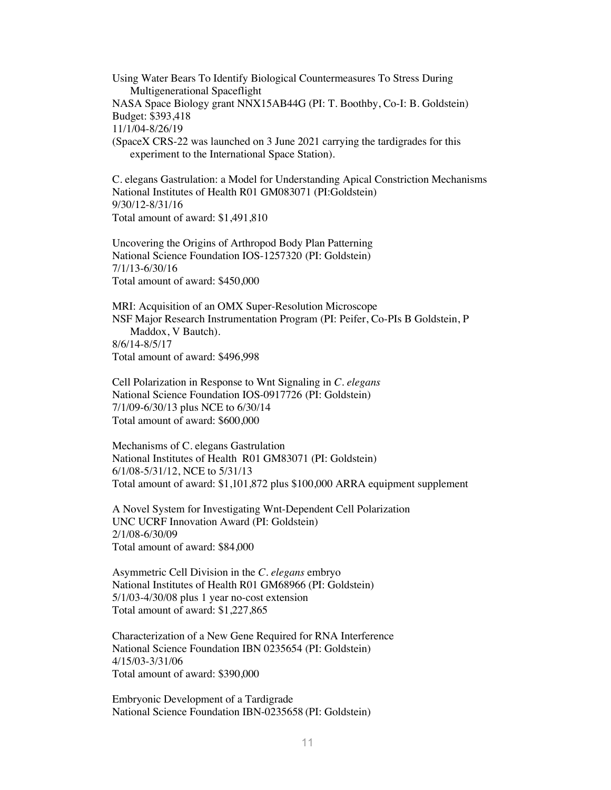Using Water Bears To Identify Biological Countermeasures To Stress During Multigenerational Spaceflight NASA Space Biology grant NNX15AB44G (PI: T. Boothby, Co-I: B. Goldstein) Budget: \$393,418 11/1/04-8/26/19 (SpaceX CRS-22 was launched on 3 June 2021 carrying the tardigrades for this experiment to the International Space Station).

C. elegans Gastrulation: a Model for Understanding Apical Constriction Mechanisms National Institutes of Health R01 GM083071 (PI:Goldstein) 9/30/12-8/31/16 Total amount of award: \$1,491,810

Uncovering the Origins of Arthropod Body Plan Patterning National Science Foundation IOS-1257320 (PI: Goldstein) 7/1/13-6/30/16 Total amount of award: \$450,000

MRI: Acquisition of an OMX Super-Resolution Microscope NSF Major Research Instrumentation Program (PI: Peifer, Co-PIs B Goldstein, P Maddox, V Bautch). 8/6/14-8/5/17 Total amount of award: \$496,998

Cell Polarization in Response to Wnt Signaling in *C. elegans* National Science Foundation IOS-0917726 (PI: Goldstein) 7/1/09-6/30/13 plus NCE to 6/30/14 Total amount of award: \$600,000

Mechanisms of C. elegans Gastrulation National Institutes of Health R01 GM83071 (PI: Goldstein) 6/1/08-5/31/12, NCE to 5/31/13 Total amount of award: \$1,101,872 plus \$100,000 ARRA equipment supplement

A Novel System for Investigating Wnt-Dependent Cell Polarization UNC UCRF Innovation Award (PI: Goldstein) 2/1/08-6/30/09 Total amount of award: \$84,000

Asymmetric Cell Division in the *C. elegans* embryo National Institutes of Health R01 GM68966 (PI: Goldstein) 5/1/03-4/30/08 plus 1 year no-cost extension Total amount of award: \$1,227,865

Characterization of a New Gene Required for RNA Interference National Science Foundation IBN 0235654 (PI: Goldstein) 4/15/03-3/31/06 Total amount of award: \$390,000

Embryonic Development of a Tardigrade National Science Foundation IBN-0235658 (PI: Goldstein)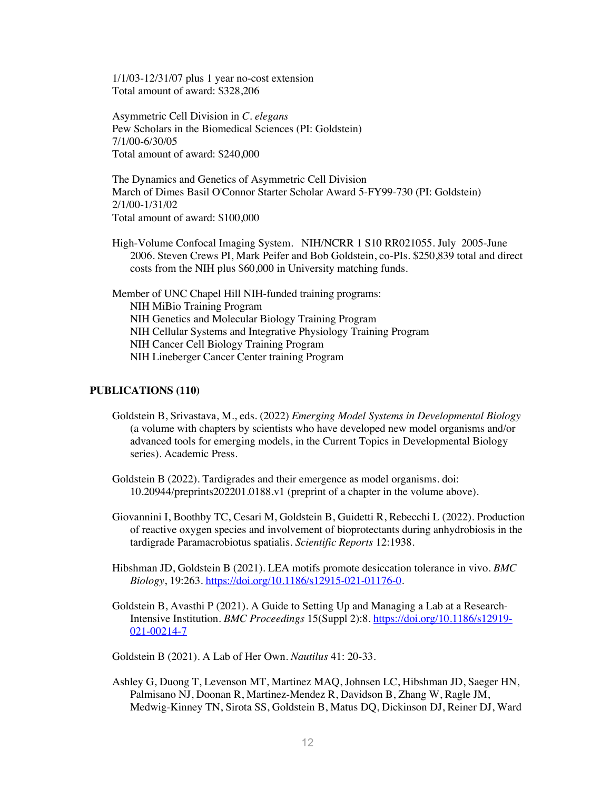1/1/03-12/31/07 plus 1 year no-cost extension Total amount of award: \$328,206

Asymmetric Cell Division in *C. elegans* Pew Scholars in the Biomedical Sciences (PI: Goldstein) 7/1/00-6/30/05 Total amount of award: \$240,000

The Dynamics and Genetics of Asymmetric Cell Division March of Dimes Basil O'Connor Starter Scholar Award 5-FY99-730 (PI: Goldstein) 2/1/00-1/31/02 Total amount of award: \$100,000

High-Volume Confocal Imaging System. NIH/NCRR 1 S10 RR021055. July 2005-June 2006. Steven Crews PI, Mark Peifer and Bob Goldstein, co-PIs. \$250,839 total and direct costs from the NIH plus \$60,000 in University matching funds.

Member of UNC Chapel Hill NIH-funded training programs: NIH MiBio Training Program NIH Genetics and Molecular Biology Training Program NIH Cellular Systems and Integrative Physiology Training Program NIH Cancer Cell Biology Training Program NIH Lineberger Cancer Center training Program

### **PUBLICATIONS (110)**

- Goldstein B, Srivastava, M., eds. (2022) *Emerging Model Systems in Developmental Biology* (a volume with chapters by scientists who have developed new model organisms and/or advanced tools for emerging models, in the Current Topics in Developmental Biology series). Academic Press.
- Goldstein B (2022). Tardigrades and their emergence as model organisms. doi: 10.20944/preprints202201.0188.v1 (preprint of a chapter in the volume above).
- Giovannini I, Boothby TC, Cesari M, Goldstein B, Guidetti R, Rebecchi L (2022). Production of reactive oxygen species and involvement of bioprotectants during anhydrobiosis in the tardigrade Paramacrobiotus spatialis. *Scientific Reports* 12:1938.
- Hibshman JD, Goldstein B (2021). LEA motifs promote desiccation tolerance in vivo. *BMC Biology*, 19:263. https://doi.org/10.1186/s12915-021-01176-0.
- Goldstein B, Avasthi P (2021). A Guide to Setting Up and Managing a Lab at a Research-Intensive Institution. *BMC Proceedings* 15(Suppl 2):8. https://doi.org/10.1186/s12919- 021-00214-7

Goldstein B (2021). A Lab of Her Own. *Nautilus* 41: 20-33.

Ashley G, Duong T, Levenson MT, Martinez MAQ, Johnsen LC, Hibshman JD, Saeger HN, Palmisano NJ, Doonan R, Martinez-Mendez R, Davidson B, Zhang W, Ragle JM, Medwig-Kinney TN, Sirota SS, Goldstein B, Matus DQ, Dickinson DJ, Reiner DJ, Ward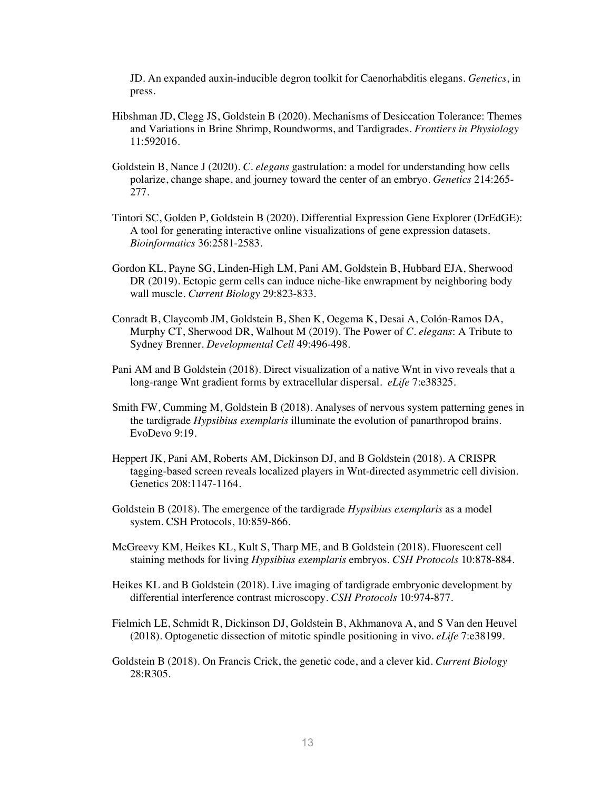JD. An expanded auxin-inducible degron toolkit for Caenorhabditis elegans. *Genetics*, in press.

- Hibshman JD, Clegg JS, Goldstein B (2020). Mechanisms of Desiccation Tolerance: Themes and Variations in Brine Shrimp, Roundworms, and Tardigrades. *Frontiers in Physiology*  11:592016.
- Goldstein B, Nance J (2020). *C. elegans* gastrulation: a model for understanding how cells polarize, change shape, and journey toward the center of an embryo. *Genetics* 214:265- 277.
- Tintori SC, Golden P, Goldstein B (2020). Differential Expression Gene Explorer (DrEdGE): A tool for generating interactive online visualizations of gene expression datasets. *Bioinformatics* 36:2581-2583.
- Gordon KL, Payne SG, Linden-High LM, Pani AM, Goldstein B, Hubbard EJA, Sherwood DR (2019). Ectopic germ cells can induce niche-like enwrapment by neighboring body wall muscle. *Current Biology* 29:823-833.
- Conradt B, Claycomb JM, Goldstein B, Shen K, Oegema K, Desai A, Colón-Ramos DA, Murphy CT, Sherwood DR, Walhout M (2019). The Power of *C. elegans*: A Tribute to Sydney Brenner. *Developmental Cell* 49:496-498.
- Pani AM and B Goldstein (2018). Direct visualization of a native Wnt in vivo reveals that a long-range Wnt gradient forms by extracellular dispersal. *eLife* 7:e38325.
- Smith FW, Cumming M, Goldstein B (2018). Analyses of nervous system patterning genes in the tardigrade *Hypsibius exemplaris* illuminate the evolution of panarthropod brains. EvoDevo 9:19.
- Heppert JK, Pani AM, Roberts AM, Dickinson DJ, and B Goldstein (2018). A CRISPR tagging-based screen reveals localized players in Wnt-directed asymmetric cell division. Genetics 208:1147-1164.
- Goldstein B (2018). The emergence of the tardigrade *Hypsibius exemplaris* as a model system. CSH Protocols, 10:859-866.
- McGreevy KM, Heikes KL, Kult S, Tharp ME, and B Goldstein (2018). Fluorescent cell staining methods for living *Hypsibius exemplaris* embryos. *CSH Protocols* 10:878-884.
- Heikes KL and B Goldstein (2018). Live imaging of tardigrade embryonic development by differential interference contrast microscopy. *CSH Protocols* 10:974-877.
- Fielmich LE, Schmidt R, Dickinson DJ, Goldstein B, Akhmanova A, and S Van den Heuvel (2018). Optogenetic dissection of mitotic spindle positioning in vivo. *eLife* 7:e38199.
- Goldstein B (2018). On Francis Crick, the genetic code, and a clever kid. *Current Biology* 28:R305.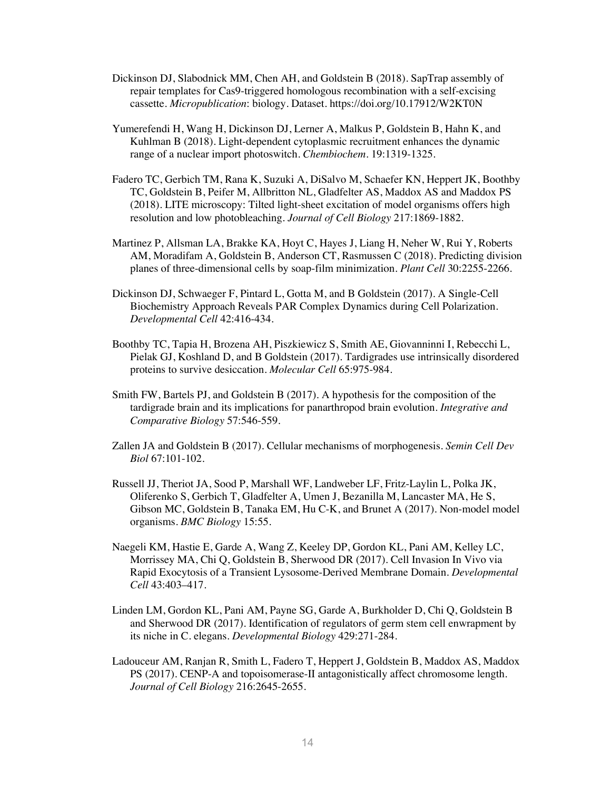- Dickinson DJ, Slabodnick MM, Chen AH, and Goldstein B (2018). SapTrap assembly of repair templates for Cas9-triggered homologous recombination with a self-excising cassette. *Micropublication*: biology. Dataset. https://doi.org/10.17912/W2KT0N
- Yumerefendi H, Wang H, Dickinson DJ, Lerner A, Malkus P, Goldstein B, Hahn K, and Kuhlman B (2018). Light-dependent cytoplasmic recruitment enhances the dynamic range of a nuclear import photoswitch. *Chembiochem*. 19:1319-1325.
- Fadero TC, Gerbich TM, Rana K, Suzuki A, DiSalvo M, Schaefer KN, Heppert JK, Boothby TC, Goldstein B, Peifer M, Allbritton NL, Gladfelter AS, Maddox AS and Maddox PS (2018). LITE microscopy: Tilted light-sheet excitation of model organisms offers high resolution and low photobleaching. *Journal of Cell Biology* 217:1869-1882.
- Martinez P, Allsman LA, Brakke KA, Hoyt C, Hayes J, Liang H, Neher W, Rui Y, Roberts AM, Moradifam A, Goldstein B, Anderson CT, Rasmussen C (2018). Predicting division planes of three-dimensional cells by soap-film minimization. *Plant Cell* 30:2255-2266.
- Dickinson DJ, Schwaeger F, Pintard L, Gotta M, and B Goldstein (2017). A Single-Cell Biochemistry Approach Reveals PAR Complex Dynamics during Cell Polarization. *Developmental Cell* 42:416-434.
- Boothby TC, Tapia H, Brozena AH, Piszkiewicz S, Smith AE, Giovanninni I, Rebecchi L, Pielak GJ, Koshland D, and B Goldstein (2017). Tardigrades use intrinsically disordered proteins to survive desiccation. *Molecular Cell* 65:975-984.
- Smith FW, Bartels PJ, and Goldstein B (2017). A hypothesis for the composition of the tardigrade brain and its implications for panarthropod brain evolution. *Integrative and Comparative Biology* 57:546-559.
- Zallen JA and Goldstein B (2017). Cellular mechanisms of morphogenesis. *Semin Cell Dev Biol* 67:101-102.
- Russell JJ, Theriot JA, Sood P, Marshall WF, Landweber LF, Fritz-Laylin L, Polka JK, Oliferenko S, Gerbich T, Gladfelter A, Umen J, Bezanilla M, Lancaster MA, He S, Gibson MC, Goldstein B, Tanaka EM, Hu C-K, and Brunet A (2017). Non-model model organisms. *BMC Biology* 15:55.
- Naegeli KM, Hastie E, Garde A, Wang Z, Keeley DP, Gordon KL, Pani AM, Kelley LC, Morrissey MA, Chi Q, Goldstein B, Sherwood DR (2017). Cell Invasion In Vivo via Rapid Exocytosis of a Transient Lysosome-Derived Membrane Domain. *Developmental Cell* 43:403–417.
- Linden LM, Gordon KL, Pani AM, Payne SG, Garde A, Burkholder D, Chi Q, Goldstein B and Sherwood DR (2017). Identification of regulators of germ stem cell enwrapment by its niche in C. elegans. *Developmental Biology* 429:271-284.
- Ladouceur AM, Ranjan R, Smith L, Fadero T, Heppert J, Goldstein B, Maddox AS, Maddox PS (2017). CENP-A and topoisomerase-II antagonistically affect chromosome length. *Journal of Cell Biology* 216:2645-2655.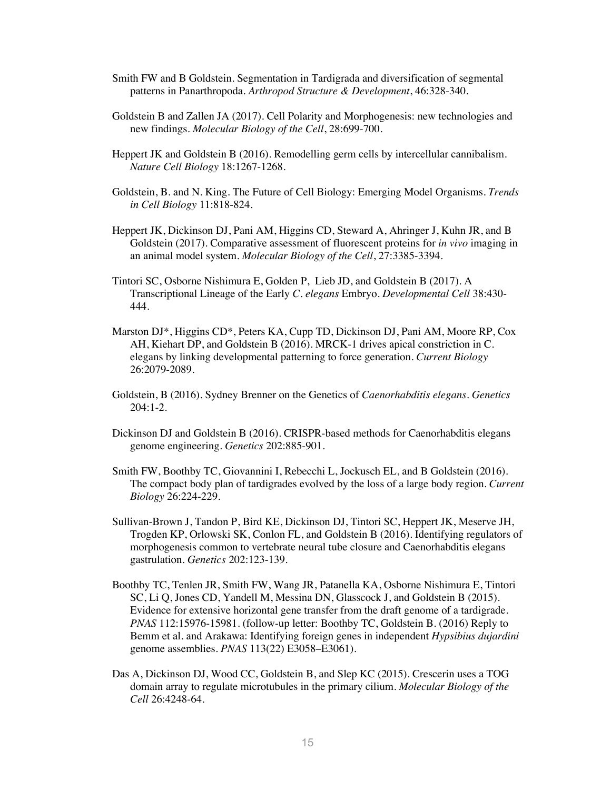- Smith FW and B Goldstein. Segmentation in Tardigrada and diversification of segmental patterns in Panarthropoda. *Arthropod Structure & Development*, 46:328-340.
- Goldstein B and Zallen JA (2017). Cell Polarity and Morphogenesis: new technologies and new findings. *Molecular Biology of the Cell*, 28:699-700.
- Heppert JK and Goldstein B (2016). Remodelling germ cells by intercellular cannibalism. *Nature Cell Biology* 18:1267-1268.
- Goldstein, B. and N. King. The Future of Cell Biology: Emerging Model Organisms. *Trends in Cell Biology* 11:818-824.
- Heppert JK, Dickinson DJ, Pani AM, Higgins CD, Steward A, Ahringer J, Kuhn JR, and B Goldstein (2017). Comparative assessment of fluorescent proteins for *in vivo* imaging in an animal model system. *Molecular Biology of the Cell*, 27:3385-3394.
- Tintori SC, Osborne Nishimura E, Golden P, Lieb JD, and Goldstein B (2017). A Transcriptional Lineage of the Early *C. elegans* Embryo. *Developmental Cell* 38:430- 444.
- Marston DJ\*, Higgins CD\*, Peters KA, Cupp TD, Dickinson DJ, Pani AM, Moore RP, Cox AH, Kiehart DP, and Goldstein B (2016). MRCK-1 drives apical constriction in C. elegans by linking developmental patterning to force generation. *Current Biology* 26:2079-2089.
- Goldstein, B (2016). Sydney Brenner on the Genetics of *Caenorhabditis elegans*. *Genetics* 204:1-2.
- Dickinson DJ and Goldstein B (2016). CRISPR-based methods for Caenorhabditis elegans genome engineering. *Genetics* 202:885-901.
- Smith FW, Boothby TC, Giovannini I, Rebecchi L, Jockusch EL, and B Goldstein (2016). The compact body plan of tardigrades evolved by the loss of a large body region. *Current Biology* 26:224-229.
- Sullivan-Brown J, Tandon P, Bird KE, Dickinson DJ, Tintori SC, Heppert JK, Meserve JH, Trogden KP, Orlowski SK, Conlon FL, and Goldstein B (2016). Identifying regulators of morphogenesis common to vertebrate neural tube closure and Caenorhabditis elegans gastrulation. *Genetics* 202:123-139.
- Boothby TC, Tenlen JR, Smith FW, Wang JR, Patanella KA, Osborne Nishimura E, Tintori SC, Li Q, Jones CD, Yandell M, Messina DN, Glasscock J, and Goldstein B (2015). Evidence for extensive horizontal gene transfer from the draft genome of a tardigrade. *PNAS* 112:15976-15981. (follow-up letter: Boothby TC, Goldstein B. (2016) Reply to Bemm et al. and Arakawa: Identifying foreign genes in independent *Hypsibius dujardini* genome assemblies. *PNAS* 113(22) E3058–E3061).
- Das A, Dickinson DJ, Wood CC, Goldstein B, and Slep KC (2015). Crescerin uses a TOG domain array to regulate microtubules in the primary cilium. *Molecular Biology of the Cell* 26:4248-64.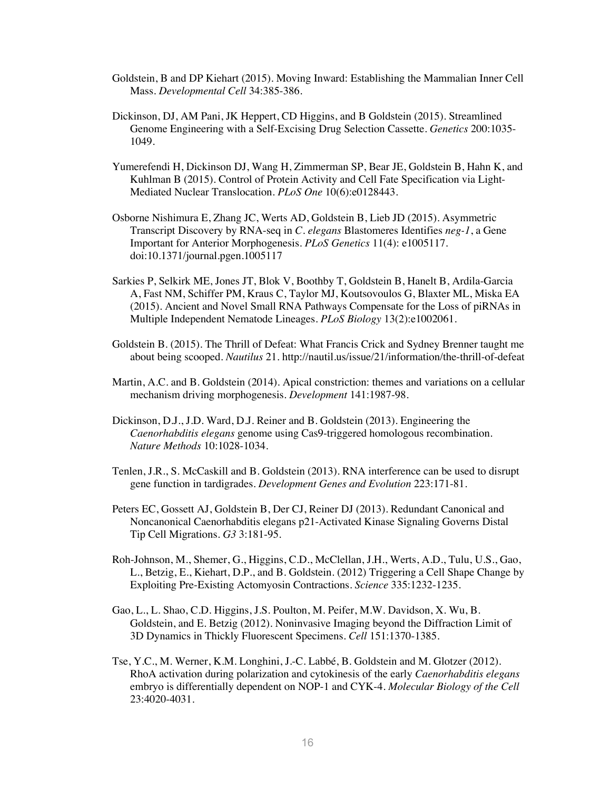- Goldstein, B and DP Kiehart (2015). Moving Inward: Establishing the Mammalian Inner Cell Mass. *Developmental Cell* 34:385-386.
- Dickinson, DJ, AM Pani, JK Heppert, CD Higgins, and B Goldstein (2015). Streamlined Genome Engineering with a Self-Excising Drug Selection Cassette. *Genetics* 200:1035- 1049.
- Yumerefendi H, Dickinson DJ, Wang H, Zimmerman SP, Bear JE, Goldstein B, Hahn K, and Kuhlman B (2015). Control of Protein Activity and Cell Fate Specification via Light-Mediated Nuclear Translocation. *PLoS One* 10(6):e0128443.
- Osborne Nishimura E, Zhang JC, Werts AD, Goldstein B, Lieb JD (2015). Asymmetric Transcript Discovery by RNA-seq in *C. elegans* Blastomeres Identifies *neg-1*, a Gene Important for Anterior Morphogenesis. *PLoS Genetics* 11(4): e1005117. doi:10.1371/journal.pgen.1005117
- Sarkies P, Selkirk ME, Jones JT, Blok V, Boothby T, Goldstein B, Hanelt B, Ardila-Garcia A, Fast NM, Schiffer PM, Kraus C, Taylor MJ, Koutsovoulos G, Blaxter ML, Miska EA (2015). Ancient and Novel Small RNA Pathways Compensate for the Loss of piRNAs in Multiple Independent Nematode Lineages. *PLoS Biology* 13(2):e1002061.
- Goldstein B. (2015). The Thrill of Defeat: What Francis Crick and Sydney Brenner taught me about being scooped. *Nautilus* 21. http://nautil.us/issue/21/information/the-thrill-of-defeat
- Martin, A.C. and B. Goldstein (2014). Apical constriction: themes and variations on a cellular mechanism driving morphogenesis. *Development* 141:1987-98.
- Dickinson, D.J., J.D. Ward, D.J. Reiner and B. Goldstein (2013). Engineering the *Caenorhabditis elegans* genome using Cas9-triggered homologous recombination. *Nature Methods* 10:1028-1034.
- Tenlen, J.R., S. McCaskill and B. Goldstein (2013). RNA interference can be used to disrupt gene function in tardigrades. *Development Genes and Evolution* 223:171-81.
- Peters EC, Gossett AJ, Goldstein B, Der CJ, Reiner DJ (2013). Redundant Canonical and Noncanonical Caenorhabditis elegans p21-Activated Kinase Signaling Governs Distal Tip Cell Migrations. *G3* 3:181-95.
- Roh-Johnson, M., Shemer, G., Higgins, C.D., McClellan, J.H., Werts, A.D., Tulu, U.S., Gao, L., Betzig, E., Kiehart, D.P., and B. Goldstein. (2012) Triggering a Cell Shape Change by Exploiting Pre-Existing Actomyosin Contractions. *Science* 335:1232-1235.
- Gao, L., L. Shao, C.D. Higgins, J.S. Poulton, M. Peifer, M.W. Davidson, X. Wu, B. Goldstein, and E. Betzig (2012). Noninvasive Imaging beyond the Diffraction Limit of 3D Dynamics in Thickly Fluorescent Specimens. *Cell* 151:1370-1385.
- Tse, Y.C., M. Werner, K.M. Longhini, J.-C. Labbé, B. Goldstein and M. Glotzer (2012). RhoA activation during polarization and cytokinesis of the early *Caenorhabditis elegans*  embryo is differentially dependent on NOP-1 and CYK-4. *Molecular Biology of the Cell*  23:4020-4031.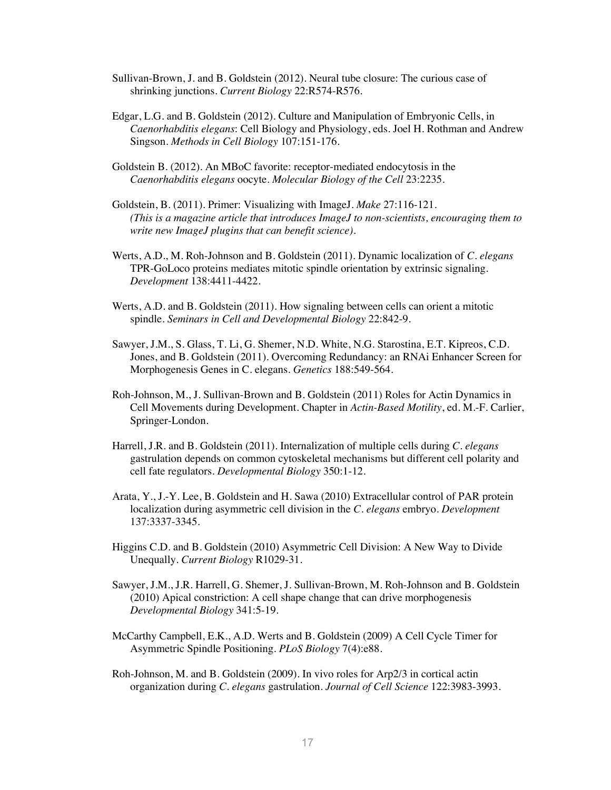- Sullivan-Brown, J. and B. Goldstein (2012). Neural tube closure: The curious case of shrinking junctions. *Current Biology* 22:R574-R576.
- Edgar, L.G. and B. Goldstein (2012). Culture and Manipulation of Embryonic Cells, in *Caenorhabditis elegans*: Cell Biology and Physiology, eds. Joel H. Rothman and Andrew Singson. *Methods in Cell Biology* 107:151-176.
- Goldstein B. (2012). An MBoC favorite: receptor-mediated endocytosis in the *Caenorhabditis elegans* oocyte. *Molecular Biology of the Cell* 23:2235.
- Goldstein, B. (2011). Primer: Visualizing with ImageJ. *Make* 27:116-121. *(This is a magazine article that introduces ImageJ to non-scientists, encouraging them to write new ImageJ plugins that can benefit science).*
- Werts, A.D., M. Roh-Johnson and B. Goldstein (2011). Dynamic localization of *C. elegans* TPR-GoLoco proteins mediates mitotic spindle orientation by extrinsic signaling. *Development* 138:4411-4422.
- Werts, A.D. and B. Goldstein (2011). How signaling between cells can orient a mitotic spindle. *Seminars in Cell and Developmental Biology* 22:842-9.
- Sawyer, J.M., S. Glass, T. Li, G. Shemer, N.D. White, N.G. Starostina, E.T. Kipreos, C.D. Jones, and B. Goldstein (2011). Overcoming Redundancy: an RNAi Enhancer Screen for Morphogenesis Genes in C. elegans. *Genetics* 188:549-564.
- Roh-Johnson, M., J. Sullivan-Brown and B. Goldstein (2011) Roles for Actin Dynamics in Cell Movements during Development. Chapter in *Actin-Based Motility*, ed. M.-F. Carlier, Springer-London.
- Harrell, J.R. and B. Goldstein (2011). Internalization of multiple cells during *C. elegans*  gastrulation depends on common cytoskeletal mechanisms but different cell polarity and cell fate regulators. *Developmental Biology* 350:1-12.
- Arata, Y., J.-Y. Lee, B. Goldstein and H. Sawa (2010) Extracellular control of PAR protein localization during asymmetric cell division in the *C. elegans* embryo. *Development*  137:3337-3345.
- Higgins C.D. and B. Goldstein (2010) Asymmetric Cell Division: A New Way to Divide Unequally. *Current Biology* R1029-31.
- Sawyer, J.M., J.R. Harrell, G. Shemer, J. Sullivan-Brown, M. Roh-Johnson and B. Goldstein (2010) Apical constriction: A cell shape change that can drive morphogenesis *Developmental Biology* 341:5-19.
- McCarthy Campbell, E.K., A.D. Werts and B. Goldstein (2009) A Cell Cycle Timer for Asymmetric Spindle Positioning. *PLoS Biology* 7(4):e88.
- Roh-Johnson, M. and B. Goldstein (2009). In vivo roles for Arp2/3 in cortical actin organization during *C. elegans* gastrulation. *Journal of Cell Science* 122:3983-3993.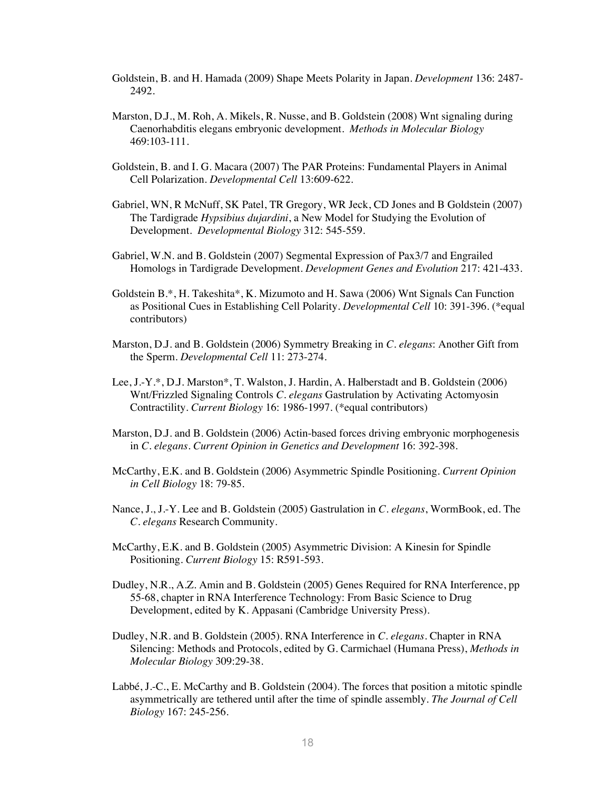- Goldstein, B. and H. Hamada (2009) Shape Meets Polarity in Japan. *Development* 136: 2487- 2492.
- Marston, D.J., M. Roh, A. Mikels, R. Nusse, and B. Goldstein (2008) Wnt signaling during Caenorhabditis elegans embryonic development. *Methods in Molecular Biology* 469:103-111.
- Goldstein, B. and I. G. Macara (2007) The PAR Proteins: Fundamental Players in Animal Cell Polarization. *Developmental Cell* 13:609-622.
- Gabriel, WN, R McNuff, SK Patel, TR Gregory, WR Jeck, CD Jones and B Goldstein (2007) The Tardigrade *Hypsibius dujardini*, a New Model for Studying the Evolution of Development. *Developmental Biology* 312: 545-559.
- Gabriel, W.N. and B. Goldstein (2007) Segmental Expression of Pax3/7 and Engrailed Homologs in Tardigrade Development. *Development Genes and Evolution* 217: 421-433.
- Goldstein B.\*, H. Takeshita\*, K. Mizumoto and H. Sawa (2006) Wnt Signals Can Function as Positional Cues in Establishing Cell Polarity. *Developmental Cell* 10: 391-396. (\*equal contributors)
- Marston, D.J. and B. Goldstein (2006) Symmetry Breaking in *C. elegans*: Another Gift from the Sperm. *Developmental Cell* 11: 273-274.
- Lee, J.-Y.\*, D.J. Marston\*, T. Walston, J. Hardin, A. Halberstadt and B. Goldstein (2006) Wnt/Frizzled Signaling Controls *C. elegans* Gastrulation by Activating Actomyosin Contractility. *Current Biology* 16: 1986-1997. (\*equal contributors)
- Marston, D.J. and B. Goldstein (2006) Actin-based forces driving embryonic morphogenesis in *C. elegans*. *Current Opinion in Genetics and Development* 16: 392-398.
- McCarthy, E.K. and B. Goldstein (2006) Asymmetric Spindle Positioning. *Current Opinion in Cell Biology* 18: 79-85.
- Nance, J., J.-Y. Lee and B. Goldstein (2005) Gastrulation in *C. elegans*, WormBook, ed. The *C. elegans* Research Community.
- McCarthy, E.K. and B. Goldstein (2005) Asymmetric Division: A Kinesin for Spindle Positioning. *Current Biology* 15: R591-593.
- Dudley, N.R., A.Z. Amin and B. Goldstein (2005) Genes Required for RNA Interference, pp 55-68, chapter in RNA Interference Technology: From Basic Science to Drug Development, edited by K. Appasani (Cambridge University Press).
- Dudley, N.R. and B. Goldstein (2005). RNA Interference in *C. elegans*. Chapter in RNA Silencing: Methods and Protocols, edited by G. Carmichael (Humana Press), *Methods in Molecular Biology* 309:29-38.
- Labbé, J.-C., E. McCarthy and B. Goldstein (2004). The forces that position a mitotic spindle asymmetrically are tethered until after the time of spindle assembly. *The Journal of Cell Biology* 167: 245-256.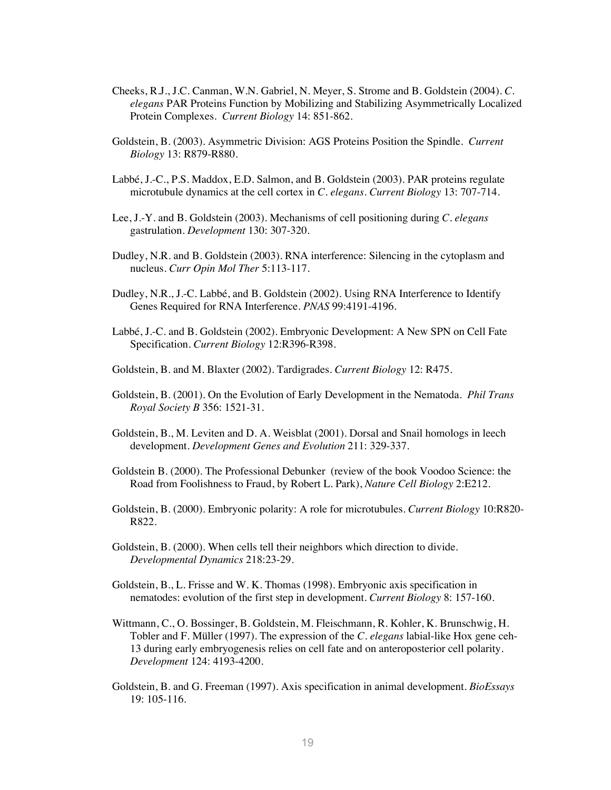- Cheeks, R.J., J.C. Canman, W.N. Gabriel, N. Meyer, S. Strome and B. Goldstein (2004). *C. elegans* PAR Proteins Function by Mobilizing and Stabilizing Asymmetrically Localized Protein Complexes. *Current Biology* 14: 851-862.
- Goldstein, B. (2003). Asymmetric Division: AGS Proteins Position the Spindle. *Current Biology* 13: R879-R880.
- Labbé, J.-C., P.S. Maddox, E.D. Salmon, and B. Goldstein (2003). PAR proteins regulate microtubule dynamics at the cell cortex in *C. elegans*. *Current Biology* 13: 707-714.
- Lee, J.-Y. and B. Goldstein (2003). Mechanisms of cell positioning during *C. elegans* gastrulation. *Development* 130: 307-320.
- Dudley, N.R. and B. Goldstein (2003). RNA interference: Silencing in the cytoplasm and nucleus. *Curr Opin Mol Ther* 5:113-117.
- Dudley, N.R., J.-C. Labbé, and B. Goldstein (2002). Using RNA Interference to Identify Genes Required for RNA Interference. *PNAS* 99:4191-4196.
- Labbé, J.-C. and B. Goldstein (2002). Embryonic Development: A New SPN on Cell Fate Specification. *Current Biology* 12:R396-R398.
- Goldstein, B. and M. Blaxter (2002). Tardigrades. *Current Biology* 12: R475.
- Goldstein, B. (2001). On the Evolution of Early Development in the Nematoda. *Phil Trans Royal Society B* 356: 1521-31.
- Goldstein, B., M. Leviten and D. A. Weisblat (2001). Dorsal and Snail homologs in leech development. *Development Genes and Evolution* 211: 329-337.
- Goldstein B. (2000). The Professional Debunker (review of the book Voodoo Science: the Road from Foolishness to Fraud, by Robert L. Park), *Nature Cell Biology* 2:E212.
- Goldstein, B. (2000). Embryonic polarity: A role for microtubules. *Current Biology* 10:R820- R822.
- Goldstein, B. (2000). When cells tell their neighbors which direction to divide. *Developmental Dynamics* 218:23-29.
- Goldstein, B., L. Frisse and W. K. Thomas (1998). Embryonic axis specification in nematodes: evolution of the first step in development. *Current Biology* 8: 157-160.
- Wittmann, C., O. Bossinger, B. Goldstein, M. Fleischmann, R. Kohler, K. Brunschwig, H. Tobler and F. Müller (1997). The expression of the *C. elegans* labial-like Hox gene ceh-13 during early embryogenesis relies on cell fate and on anteroposterior cell polarity. *Development* 124: 4193-4200.
- Goldstein, B. and G. Freeman (1997). Axis specification in animal development. *BioEssays*  19: 105-116.